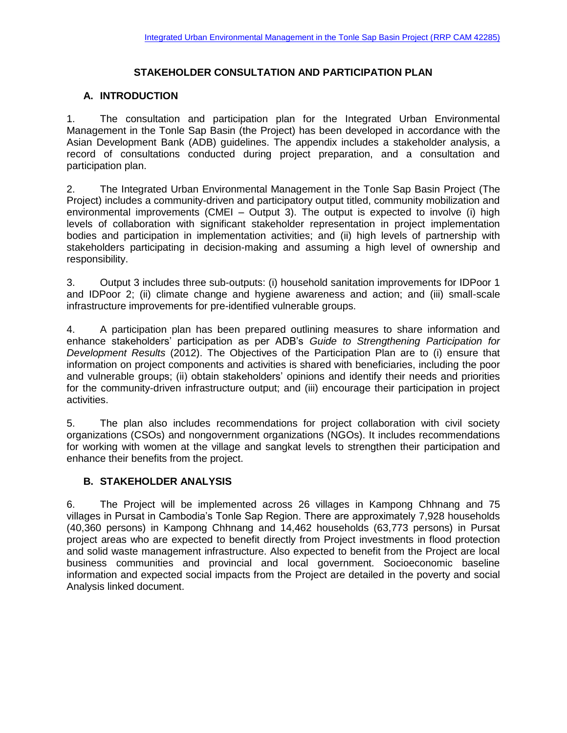## **STAKEHOLDER CONSULTATION AND PARTICIPATION PLAN**

# **A. INTRODUCTION**

1. The consultation and participation plan for the Integrated Urban Environmental Management in the Tonle Sap Basin (the Project) has been developed in accordance with the Asian Development Bank (ADB) guidelines. The appendix includes a stakeholder analysis, a record of consultations conducted during project preparation, and a consultation and participation plan.

2. The Integrated Urban Environmental Management in the Tonle Sap Basin Project (The Project) includes a community-driven and participatory output titled, community mobilization and environmental improvements (CMEI – Output 3). The output is expected to involve (i) high levels of collaboration with significant stakeholder representation in project implementation bodies and participation in implementation activities; and (ii) high levels of partnership with stakeholders participating in decision-making and assuming a high level of ownership and responsibility.

3. Output 3 includes three sub-outputs: (i) household sanitation improvements for IDPoor 1 and IDPoor 2; (ii) climate change and hygiene awareness and action; and (iii) small-scale infrastructure improvements for pre-identified vulnerable groups.

4. A participation plan has been prepared outlining measures to share information and enhance stakeholders' participation as per ADB's *Guide to Strengthening Participation for Development Results* (2012). The Objectives of the Participation Plan are to (i) ensure that information on project components and activities is shared with beneficiaries, including the poor and vulnerable groups; (ii) obtain stakeholders' opinions and identify their needs and priorities for the community-driven infrastructure output; and (iii) encourage their participation in project activities.

5. The plan also includes recommendations for project collaboration with civil society organizations (CSOs) and nongovernment organizations (NGOs). It includes recommendations for working with women at the village and sangkat levels to strengthen their participation and enhance their benefits from the project.

## **B. STAKEHOLDER ANALYSIS**

6. The Project will be implemented across 26 villages in Kampong Chhnang and 75 villages in Pursat in Cambodia's Tonle Sap Region. There are approximately 7,928 households (40,360 persons) in Kampong Chhnang and 14,462 households (63,773 persons) in Pursat project areas who are expected to benefit directly from Project investments in flood protection and solid waste management infrastructure. Also expected to benefit from the Project are local business communities and provincial and local government. Socioeconomic baseline information and expected social impacts from the Project are detailed in the poverty and social Analysis linked document.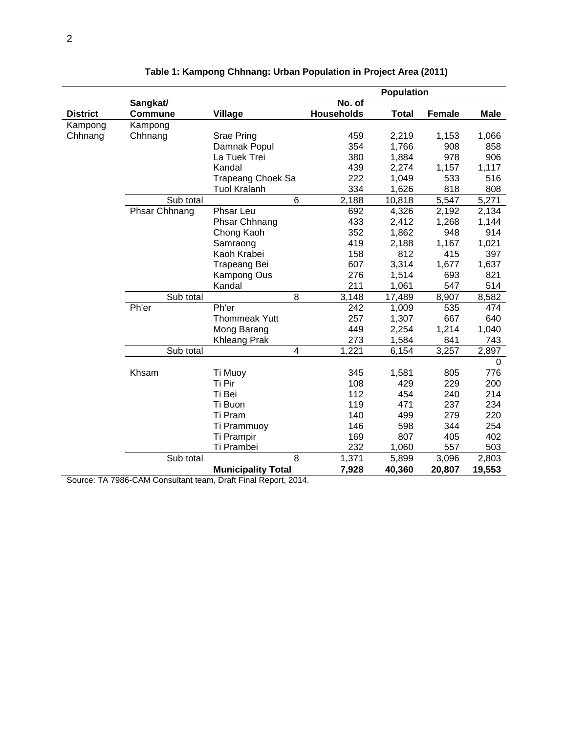|                 |                |                           |                    | <b>Population</b> |                    |             |
|-----------------|----------------|---------------------------|--------------------|-------------------|--------------------|-------------|
|                 | Sangkat/       |                           | No. of             |                   |                    |             |
| <b>District</b> | <b>Commune</b> | <b>Village</b>            | <b>Households</b>  | <b>Total</b>      | <b>Female</b>      | <b>Male</b> |
| Kampong         | Kampong        |                           |                    |                   |                    |             |
| Chhnang         | Chhnang        | Srae Pring                | 459                | 2,219             | 1,153              | 1,066       |
|                 |                | Damnak Popul              | 354                | 1,766             | 908                | 858         |
|                 |                | La Tuek Trei              | 380                | 1,884             | 978                | 906         |
|                 |                | Kandal                    | 439                | 2,274             | 1,157              | 1,117       |
|                 |                | <b>Trapeang Choek Sa</b>  | 222                | 1,049             | 533                | 516         |
|                 |                | <b>Tuol Kralanh</b>       | 334                | 1,626             | 818                | 808         |
|                 | Sub total      | 6                         | $\overline{2,}188$ | 10,818            | $\overline{5,547}$ | 5,271       |
|                 | Phsar Chhnang  | Phsar Leu                 | 692                | 4,326             | 2,192              | 2,134       |
|                 |                | Phsar Chhnang             | 433                | 2,412             | 1,268              | 1,144       |
|                 |                | Chong Kaoh                | 352                | 1,862             | 948                | 914         |
|                 |                | Samraong                  | 419                | 2,188             | 1,167              | 1,021       |
|                 |                | Kaoh Krabei               | 158                | 812               | 415                | 397         |
|                 |                | Trapeang Bei              | 607                | 3,314             | 1,677              | 1,637       |
|                 |                | Kampong Ous               | 276                | 1,514             | 693                | 821         |
|                 |                | Kandal                    | 211                | 1,061             | 547                | 514         |
|                 | Sub total      | 8                         | 3,148              | 17,489            | 8,907              | 8,582       |
|                 | Ph'er          | Ph'er                     | 242                | 1,009             | 535                | 474         |
|                 |                | <b>Thommeak Yutt</b>      | 257                | 1,307             | 667                | 640         |
|                 |                | Mong Barang               | 449                | 2,254             | 1,214              | 1,040       |
|                 |                | <b>Khleang Prak</b>       | 273                | 1,584             | 841                | 743         |
|                 | Sub total      | $\overline{\mathbf{4}}$   | ,221<br>1.         | 6,154             | 3,257              | 2,897       |
|                 |                |                           |                    |                   |                    | 0           |
|                 | Khsam          | Ti Muoy                   | 345                | 1,581             | 805                | 776         |
|                 |                | Ti Pir                    | 108                | 429               | 229                | 200         |
|                 |                | Ti Bei                    | 112                | 454               | 240                | 214         |
|                 |                | Ti Buon                   | 119                | 471               | 237                | 234         |
|                 |                | Ti Pram                   | 140                | 499               | 279                | 220         |
|                 |                | Ti Prammuoy               | 146                | 598               | 344                | 254         |
|                 |                | Ti Prampir                | 169                | 807               | 405                | 402         |
|                 |                | Ti Prambei                | 232                | 1,060             | 557                | 503         |
|                 | Sub total      | 8                         | 1,371              | 5,899             | 3,096              | 2,803       |
|                 |                | <b>Municipality Total</b> | 7,928              | 40,360            | 20,807             | 19,553      |

**Table 1: Kampong Chhnang: Urban Population in Project Area (2011)**

Source: TA 7986-CAM Consultant team, Draft Final Report, 2014.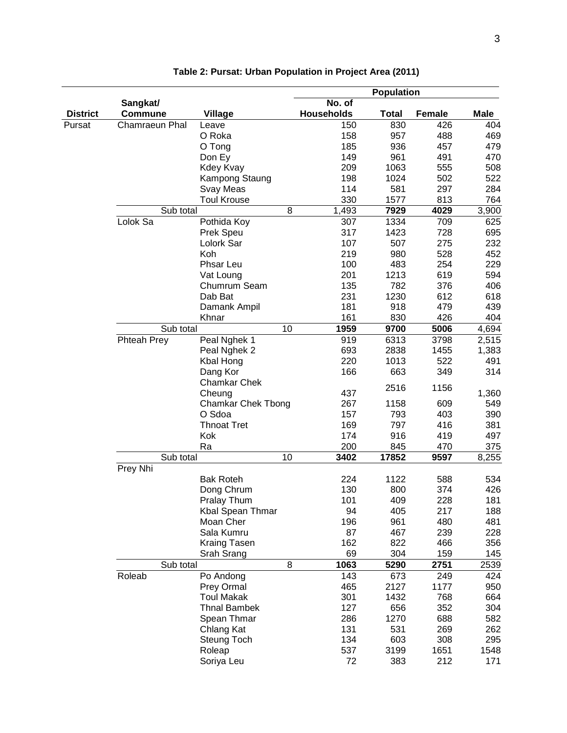|                 |                |                           |                   | <b>Population</b> |        |             |
|-----------------|----------------|---------------------------|-------------------|-------------------|--------|-------------|
|                 | Sangkat/       |                           | No. of            |                   |        |             |
| <b>District</b> | <b>Commune</b> | Village                   | <b>Households</b> | <b>Total</b>      | Female | <b>Male</b> |
| Pursat          | Chamraeun Phal | Leave                     | 150               | 830               | 426    | 404         |
|                 |                | O Roka                    | 158               | 957               | 488    | 469         |
|                 |                | O Tong                    | 185               | 936               | 457    | 479         |
|                 |                | Don Ey                    | 149               | 961               | 491    | 470         |
|                 |                | <b>Kdey Kvay</b>          | 209               | 1063              | 555    | 508         |
|                 |                | Kampong Staung            | 198               | 1024              | 502    | 522         |
|                 |                | Svay Meas                 | 114               | 581               | 297    | 284         |
|                 |                | <b>Toul Krouse</b>        | 330               | 1577              | 813    | 764         |
|                 | Sub total      | 8                         | 1,493             | 7929              | 4029   | 3,900       |
|                 | Lolok Sa       | Pothida Koy               | 307               | 1334              | 709    | 625         |
|                 |                | Prek Speu                 | 317               | 1423              | 728    | 695         |
|                 |                | Lolork Sar                | 107               | 507               | 275    | 232         |
|                 |                | Koh                       | 219               | 980               | 528    | 452         |
|                 |                | Phsar Leu                 | 100               | 483               | 254    | 229         |
|                 |                | Vat Loung                 | 201               | 1213              | 619    | 594         |
|                 |                | Chumrum Seam              | 135               | 782               | 376    | 406         |
|                 |                | Dab Bat                   | 231               | 1230              | 612    | 618         |
|                 |                | Damank Ampil              | 181               | 918               | 479    | 439         |
|                 |                | Khnar                     | 161               | 830               | 426    | 404         |
|                 | Sub total      | 10                        | 1959              | 9700              | 5006   | 4,694       |
|                 | Phteah Prey    | Peal Nghek 1              | 919               | 6313              | 3798   | 2,515       |
|                 |                | Peal Nghek 2              | 693               | 2838              | 1455   | 1,383       |
|                 |                | <b>Kbal Hong</b>          | 220               | 1013              | 522    | 491         |
|                 |                | Dang Kor                  | 166               | 663               | 349    | 314         |
|                 |                | <b>Chamkar Chek</b>       |                   |                   |        |             |
|                 |                | Cheung                    | 437               | 2516              | 1156   | 1,360       |
|                 |                | <b>Chamkar Chek Tbong</b> | 267               | 1158              | 609    | 549         |
|                 |                | O Sdoa                    | 157               | 793               | 403    | 390         |
|                 |                | <b>Thnoat Tret</b>        | 169               | 797               | 416    | 381         |
|                 |                | Kok                       | 174               | 916               | 419    | 497         |
|                 |                | Ra                        | 200               | 845               | 470    | 375         |
|                 | Sub total      | 10                        | 3402              | 17852             | 9597   | 8,255       |
|                 | Prey Nhi       |                           |                   |                   |        |             |
|                 |                | <b>Bak Roteh</b>          | 224               | 1122              | 588    | 534         |
|                 |                | Dong Chrum                | 130               | 800               | 374    | 426         |
|                 |                | Pralay Thum               | 101               | 409               | 228    | 181         |
|                 |                | Kbal Spean Thmar          | 94                | 405               | 217    | 188         |
|                 |                | Moan Cher                 | 196               | 961               | 480    | 481         |
|                 |                | Sala Kumru                | 87                | 467               | 239    | 228         |
|                 |                | <b>Kraing Tasen</b>       | 162               | 822               | 466    | 356         |
|                 |                | Srah Srang                | 69                | 304               | 159    | 145         |
|                 | Sub total      | 8                         | 1063              | 5290              | 2751   | 2539        |
|                 | Roleab         | Po Andong                 | 143               | 673               | 249    | 424         |
|                 |                | Prey Ormal                | 465               | 2127              | 1177   | 950         |
|                 |                | <b>Toul Makak</b>         | 301               | 1432              | 768    | 664         |
|                 |                | <b>Thnal Bambek</b>       | 127               | 656               | 352    | 304         |
|                 |                | Spean Thmar               | 286               | 1270              | 688    | 582         |
|                 |                | Chlang Kat                | 131               | 531               | 269    | 262         |
|                 |                | <b>Steung Toch</b>        | 134               | 603               | 308    | 295         |
|                 |                | Roleap                    | 537               | 3199              | 1651   | 1548        |
|                 |                | Soriya Leu                | 72                | 383               | 212    | 171         |
|                 |                |                           |                   |                   |        |             |

**Table 2: Pursat: Urban Population in Project Area (2011)**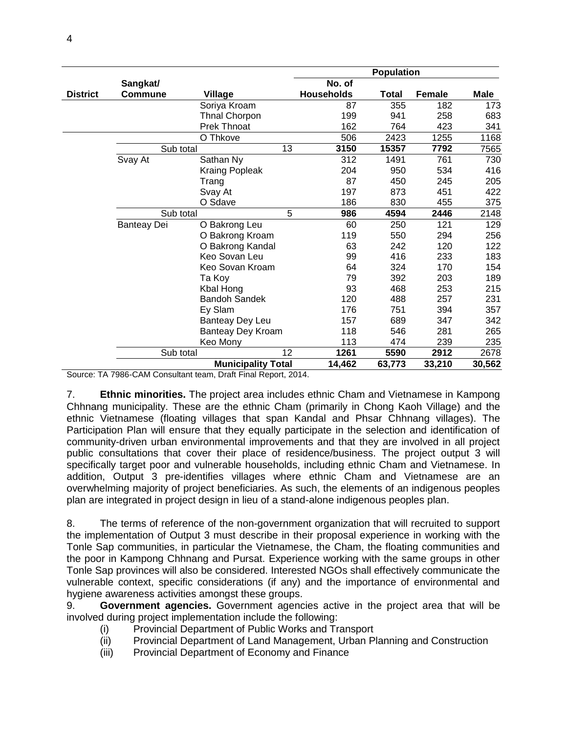|                 |                    |                           |                |                   | <b>Population</b> |               |             |
|-----------------|--------------------|---------------------------|----------------|-------------------|-------------------|---------------|-------------|
|                 | Sangkat/           |                           |                | No. of            |                   |               |             |
| <b>District</b> | Commune            | <b>Village</b>            |                | <b>Households</b> | <b>Total</b>      | <b>Female</b> | <b>Male</b> |
|                 |                    | Soriya Kroam              |                | 87                | 355               | 182           | 173         |
|                 |                    | <b>Thnal Chorpon</b>      |                | 199               | 941               | 258           | 683         |
|                 |                    | Prek Thnoat               |                | 162               | 764               | 423           | 341         |
|                 |                    | O Thkove                  |                | 506               | 2423              | 1255          | 1168        |
|                 | Sub total          |                           | 13             | 3150              | 15357             | 7792          | 7565        |
|                 | Svay At            | Sathan Ny                 |                | 312               | 1491              | 761           | 730         |
|                 |                    | <b>Kraing Popleak</b>     |                | 204               | 950               | 534           | 416         |
|                 |                    | Trang                     |                | 87                | 450               | 245           | 205         |
|                 |                    | Svay At                   |                | 197               | 873               | 451           | 422         |
|                 |                    | O Sdave                   |                | 186               | 830               | 455           | 375         |
|                 | Sub total          |                           | $\overline{5}$ | 986               | 4594              | 2446          | 2148        |
|                 | <b>Banteay Dei</b> | O Bakrong Leu             |                | 60                | 250               | 121           | 129         |
|                 |                    | O Bakrong Kroam           |                | 119               | 550               | 294           | 256         |
|                 |                    | O Bakrong Kandal          |                | 63                | 242               | 120           | 122         |
|                 |                    | Keo Sovan Leu             |                | 99                | 416               | 233           | 183         |
|                 |                    | Keo Sovan Kroam           |                | 64                | 324               | 170           | 154         |
|                 |                    | Ta Koy                    |                | 79                | 392               | 203           | 189         |
|                 |                    | Kbal Hong                 |                | 93                | 468               | 253           | 215         |
|                 |                    | <b>Bandoh Sandek</b>      |                | 120               | 488               | 257           | 231         |
|                 |                    | Ey Slam                   |                | 176               | 751               | 394           | 357         |
|                 |                    | Banteay Dey Leu           |                | 157               | 689               | 347           | 342         |
|                 |                    | Banteay Dey Kroam         |                | 118               | 546               | 281           | 265         |
|                 |                    | Keo Mony                  |                | 113               | 474               | 239           | 235         |
|                 | Sub total          |                           | 12             | 1261              | 5590              | 2912          | 2678        |
|                 |                    | <b>Municipality Total</b> |                | 14,462            | 63,773            | 33,210        | 30,562      |

Source: TA 7986-CAM Consultant team, Draft Final Report, 2014.

7. **Ethnic minorities.** The project area includes ethnic Cham and Vietnamese in Kampong Chhnang municipality. These are the ethnic Cham (primarily in Chong Kaoh Village) and the ethnic Vietnamese (floating villages that span Kandal and Phsar Chhnang villages). The Participation Plan will ensure that they equally participate in the selection and identification of community-driven urban environmental improvements and that they are involved in all project public consultations that cover their place of residence/business. The project output 3 will specifically target poor and vulnerable households, including ethnic Cham and Vietnamese. In addition, Output 3 pre-identifies villages where ethnic Cham and Vietnamese are an overwhelming majority of project beneficiaries. As such, the elements of an indigenous peoples plan are integrated in project design in lieu of a stand-alone indigenous peoples plan.

8. The terms of reference of the non-government organization that will recruited to support the implementation of Output 3 must describe in their proposal experience in working with the Tonle Sap communities, in particular the Vietnamese, the Cham, the floating communities and the poor in Kampong Chhnang and Pursat. Experience working with the same groups in other Tonle Sap provinces will also be considered. Interested NGOs shall effectively communicate the vulnerable context, specific considerations (if any) and the importance of environmental and hygiene awareness activities amongst these groups.

9. **Government agencies.** Government agencies active in the project area that will be involved during project implementation include the following:

- (i) Provincial Department of Public Works and Transport
- (ii) Provincial Department of Land Management, Urban Planning and Construction
- (iii) Provincial Department of Economy and Finance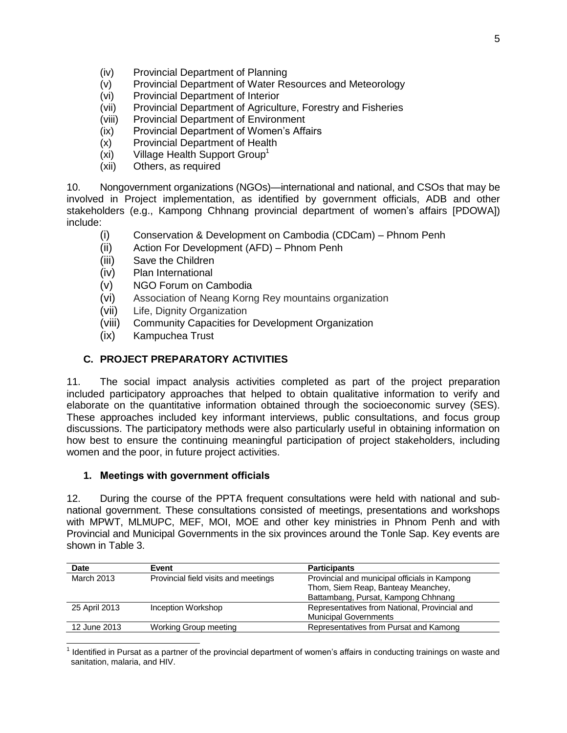- (iv) Provincial Department of Planning
- (v) Provincial Department of Water Resources and Meteorology
- (vi) Provincial Department of Interior
- (vii) Provincial Department of Agriculture, Forestry and Fisheries
- (viii) Provincial Department of Environment
- (ix) Provincial Department of Women's Affairs
- (x) Provincial Department of Health
- $(xi)$  Village Health Support Group<sup>1</sup>
- (xii) Others, as required

10. Nongovernment organizations (NGOs)—international and national, and CSOs that may be involved in Project implementation, as identified by government officials, ADB and other stakeholders (e.g., Kampong Chhnang provincial department of women's affairs [PDOWA]) include:

- (i) Conservation & Development on Cambodia (CDCam) Phnom Penh
- (ii) Action For Development (AFD) Phnom Penh
- (iii) Save the Children
- (iv) Plan International
- (v) NGO Forum on Cambodia
- (vi) Association of Neang Korng Rey mountains organization
- (vii) Life, Dignity Organization
- (viii) Community Capacities for Development Organization
- (ix) Kampuchea Trust

## **C. PROJECT PREPARATORY ACTIVITIES**

11. The social impact analysis activities completed as part of the project preparation included participatory approaches that helped to obtain qualitative information to verify and elaborate on the quantitative information obtained through the socioeconomic survey (SES). These approaches included key informant interviews, public consultations, and focus group discussions. The participatory methods were also particularly useful in obtaining information on how best to ensure the continuing meaningful participation of project stakeholders, including women and the poor, in future project activities.

#### **1. Meetings with government officials**

12. During the course of the PPTA frequent consultations were held with national and subnational government. These consultations consisted of meetings, presentations and workshops with MPWT, MLMUPC, MEF, MOI, MOE and other key ministries in Phnom Penh and with Provincial and Municipal Governments in the six provinces around the Tonle Sap. Key events are shown in Table 3.

| Date              | Event                                | <b>Participants</b>                           |
|-------------------|--------------------------------------|-----------------------------------------------|
| <b>March 2013</b> | Provincial field visits and meetings | Provincial and municipal officials in Kampong |
|                   |                                      | Thom, Siem Reap, Banteay Meanchey,            |
|                   |                                      | Battambang, Pursat, Kampong Chhnang           |
| 25 April 2013     | Inception Workshop                   | Representatives from National, Provincial and |
|                   |                                      | <b>Municipal Governments</b>                  |
| 12 June 2013      | Working Group meeting                | Representatives from Pursat and Kamong        |
|                   |                                      |                                               |

 $\overline{a}$  $1$  Identified in Pursat as a partner of the provincial department of women's affairs in conducting trainings on waste and sanitation, malaria, and HIV.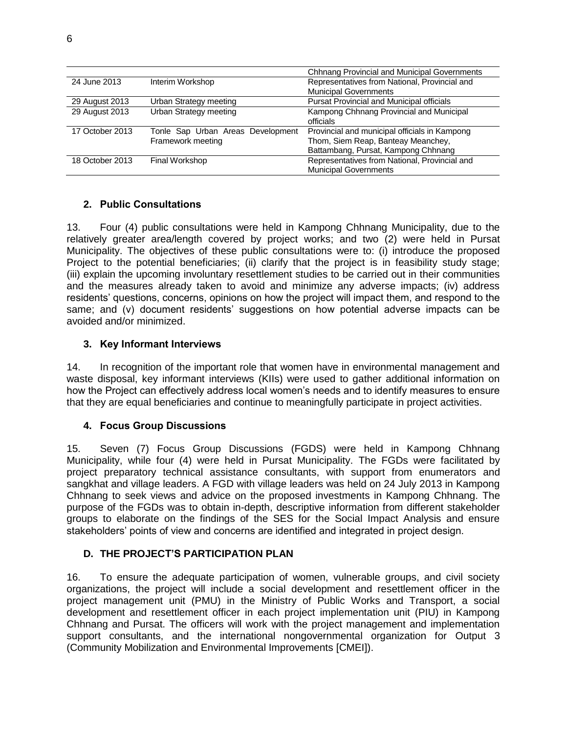|                 |                                   | Chhnang Provincial and Municipal Governments  |
|-----------------|-----------------------------------|-----------------------------------------------|
| 24 June 2013    | Interim Workshop                  | Representatives from National, Provincial and |
|                 |                                   | <b>Municipal Governments</b>                  |
| 29 August 2013  | Urban Strategy meeting            | Pursat Provincial and Municipal officials     |
| 29 August 2013  | Urban Strategy meeting            | Kampong Chhnang Provincial and Municipal      |
|                 |                                   | officials                                     |
| 17 October 2013 | Tonle Sap Urban Areas Development | Provincial and municipal officials in Kampong |
|                 | Framework meeting                 | Thom, Siem Reap, Banteay Meanchey,            |
|                 |                                   | Battambang, Pursat, Kampong Chhnang           |
| 18 October 2013 | Final Workshop                    | Representatives from National, Provincial and |
|                 |                                   | <b>Municipal Governments</b>                  |

#### **2. Public Consultations**

13. Four (4) public consultations were held in Kampong Chhnang Municipality, due to the relatively greater area/length covered by project works; and two (2) were held in Pursat Municipality. The objectives of these public consultations were to: (i) introduce the proposed Project to the potential beneficiaries; (ii) clarify that the project is in feasibility study stage; (iii) explain the upcoming involuntary resettlement studies to be carried out in their communities and the measures already taken to avoid and minimize any adverse impacts; (iv) address residents' questions, concerns, opinions on how the project will impact them, and respond to the same; and (v) document residents' suggestions on how potential adverse impacts can be avoided and/or minimized.

## **3. Key Informant Interviews**

14. In recognition of the important role that women have in environmental management and waste disposal, key informant interviews (KIIs) were used to gather additional information on how the Project can effectively address local women's needs and to identify measures to ensure that they are equal beneficiaries and continue to meaningfully participate in project activities.

## **4. Focus Group Discussions**

15. Seven (7) Focus Group Discussions (FGDS) were held in Kampong Chhnang Municipality, while four (4) were held in Pursat Municipality. The FGDs were facilitated by project preparatory technical assistance consultants, with support from enumerators and sangkhat and village leaders. A FGD with village leaders was held on 24 July 2013 in Kampong Chhnang to seek views and advice on the proposed investments in Kampong Chhnang. The purpose of the FGDs was to obtain in-depth, descriptive information from different stakeholder groups to elaborate on the findings of the SES for the Social Impact Analysis and ensure stakeholders' points of view and concerns are identified and integrated in project design.

#### **D. THE PROJECT'S PARTICIPATION PLAN**

16. To ensure the adequate participation of women, vulnerable groups, and civil society organizations, the project will include a social development and resettlement officer in the project management unit (PMU) in the Ministry of Public Works and Transport, a social development and resettlement officer in each project implementation unit (PIU) in Kampong Chhnang and Pursat. The officers will work with the project management and implementation support consultants, and the international nongovernmental organization for Output 3 (Community Mobilization and Environmental Improvements [CMEI]).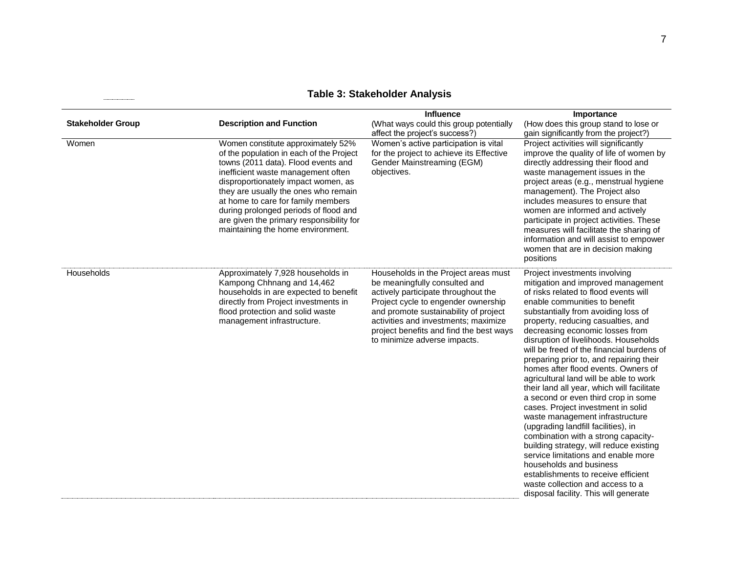# **Table 3: Stakeholder Analysis**

|                          |                                                                                                                                                                                                                                                                                                                                                                                                            | <b>Influence</b>                                                                                                                                                                                                                                                                                                | Importance                                                                                                                                                                                                                                                                                                                                                                                                                                                                                                                                                                                                                                                                                                                                                                                                                                                                                                                                                   |
|--------------------------|------------------------------------------------------------------------------------------------------------------------------------------------------------------------------------------------------------------------------------------------------------------------------------------------------------------------------------------------------------------------------------------------------------|-----------------------------------------------------------------------------------------------------------------------------------------------------------------------------------------------------------------------------------------------------------------------------------------------------------------|--------------------------------------------------------------------------------------------------------------------------------------------------------------------------------------------------------------------------------------------------------------------------------------------------------------------------------------------------------------------------------------------------------------------------------------------------------------------------------------------------------------------------------------------------------------------------------------------------------------------------------------------------------------------------------------------------------------------------------------------------------------------------------------------------------------------------------------------------------------------------------------------------------------------------------------------------------------|
| <b>Stakeholder Group</b> | <b>Description and Function</b>                                                                                                                                                                                                                                                                                                                                                                            | (What ways could this group potentially<br>affect the project's success?)                                                                                                                                                                                                                                       | (How does this group stand to lose or<br>gain significantly from the project?)                                                                                                                                                                                                                                                                                                                                                                                                                                                                                                                                                                                                                                                                                                                                                                                                                                                                               |
| Women                    | Women constitute approximately 52%<br>of the population in each of the Project<br>towns (2011 data). Flood events and<br>inefficient waste management often<br>disproportionately impact women, as<br>they are usually the ones who remain<br>at home to care for family members<br>during prolonged periods of flood and<br>are given the primary responsibility for<br>maintaining the home environment. | Women's active participation is vital<br>for the project to achieve its Effective<br>Gender Mainstreaming (EGM)<br>objectives.                                                                                                                                                                                  | Project activities will significantly<br>improve the quality of life of women by<br>directly addressing their flood and<br>waste management issues in the<br>project areas (e.g., menstrual hygiene<br>management). The Project also<br>includes measures to ensure that<br>women are informed and actively<br>participate in project activities. These<br>measures will facilitate the sharing of<br>information and will assist to empower<br>women that are in decision making<br>positions                                                                                                                                                                                                                                                                                                                                                                                                                                                               |
| Households               | Approximately 7,928 households in<br>Kampong Chhnang and 14,462<br>households in are expected to benefit<br>directly from Project investments in<br>flood protection and solid waste<br>management infrastructure.                                                                                                                                                                                         | Households in the Project areas must<br>be meaningfully consulted and<br>actively participate throughout the<br>Project cycle to engender ownership<br>and promote sustainability of project<br>activities and investments; maximize<br>project benefits and find the best ways<br>to minimize adverse impacts. | Project investments involving<br>mitigation and improved management<br>of risks related to flood events will<br>enable communities to benefit<br>substantially from avoiding loss of<br>property, reducing casualties, and<br>decreasing economic losses from<br>disruption of livelihoods. Households<br>will be freed of the financial burdens of<br>preparing prior to, and repairing their<br>homes after flood events. Owners of<br>agricultural land will be able to work<br>their land all year, which will facilitate<br>a second or even third crop in some<br>cases. Project investment in solid<br>waste management infrastructure<br>(upgrading landfill facilities), in<br>combination with a strong capacity-<br>building strategy, will reduce existing<br>service limitations and enable more<br>households and business<br>establishments to receive efficient<br>waste collection and access to a<br>disposal facility. This will generate |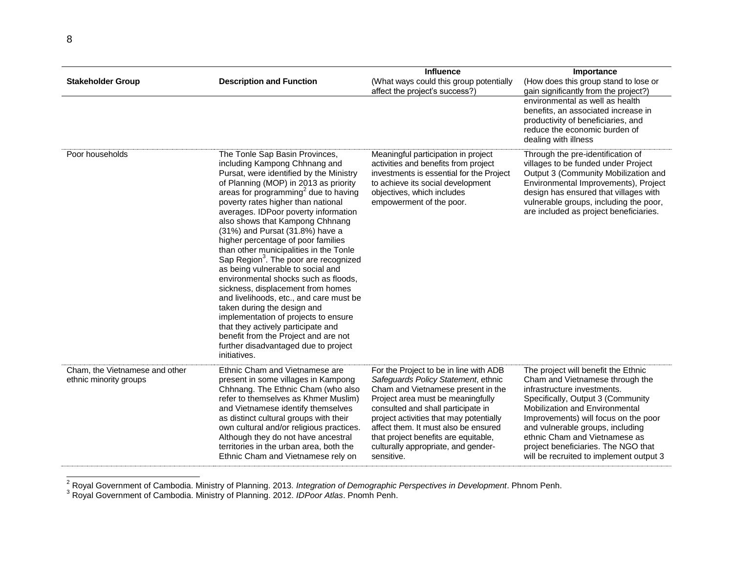|                                                          |                                                                                                                                                                                                                                                                                                                                                                                                                                                                                                                                                                                                                                                                                                                                                                                                                                                                            | <b>Influence</b>                                                                                                                                                                                                                                                                                                                                                               | Importance                                                                                                                                                                                                                                                                                                                                                                  |
|----------------------------------------------------------|----------------------------------------------------------------------------------------------------------------------------------------------------------------------------------------------------------------------------------------------------------------------------------------------------------------------------------------------------------------------------------------------------------------------------------------------------------------------------------------------------------------------------------------------------------------------------------------------------------------------------------------------------------------------------------------------------------------------------------------------------------------------------------------------------------------------------------------------------------------------------|--------------------------------------------------------------------------------------------------------------------------------------------------------------------------------------------------------------------------------------------------------------------------------------------------------------------------------------------------------------------------------|-----------------------------------------------------------------------------------------------------------------------------------------------------------------------------------------------------------------------------------------------------------------------------------------------------------------------------------------------------------------------------|
| <b>Stakeholder Group</b>                                 | <b>Description and Function</b>                                                                                                                                                                                                                                                                                                                                                                                                                                                                                                                                                                                                                                                                                                                                                                                                                                            | (What ways could this group potentially                                                                                                                                                                                                                                                                                                                                        | (How does this group stand to lose or                                                                                                                                                                                                                                                                                                                                       |
|                                                          |                                                                                                                                                                                                                                                                                                                                                                                                                                                                                                                                                                                                                                                                                                                                                                                                                                                                            | affect the project's success?)                                                                                                                                                                                                                                                                                                                                                 | gain significantly from the project?)<br>environmental as well as health<br>benefits, an associated increase in<br>productivity of beneficiaries, and<br>reduce the economic burden of<br>dealing with illness                                                                                                                                                              |
| Poor households                                          | The Tonle Sap Basin Provinces,<br>including Kampong Chhnang and<br>Pursat, were identified by the Ministry<br>of Planning (MOP) in 2013 as priority<br>areas for programming <sup>2</sup> due to having<br>poverty rates higher than national<br>averages. IDPoor poverty information<br>also shows that Kampong Chhnang<br>(31%) and Pursat (31.8%) have a<br>higher percentage of poor families<br>than other municipalities in the Tonle<br>Sap Region <sup>3</sup> . The poor are recognized<br>as being vulnerable to social and<br>environmental shocks such as floods,<br>sickness, displacement from homes<br>and livelihoods, etc., and care must be<br>taken during the design and<br>implementation of projects to ensure<br>that they actively participate and<br>benefit from the Project and are not<br>further disadvantaged due to project<br>initiatives. | Meaningful participation in project<br>activities and benefits from project<br>investments is essential for the Project<br>to achieve its social development<br>objectives, which includes<br>empowerment of the poor.                                                                                                                                                         | Through the pre-identification of<br>villages to be funded under Project<br>Output 3 (Community Mobilization and<br>Environmental Improvements), Project<br>design has ensured that villages with<br>vulnerable groups, including the poor,<br>are included as project beneficiaries.                                                                                       |
| Cham, the Vietnamese and other<br>ethnic minority groups | Ethnic Cham and Vietnamese are<br>present in some villages in Kampong<br>Chhnang. The Ethnic Cham (who also<br>refer to themselves as Khmer Muslim)<br>and Vietnamese identify themselves<br>as distinct cultural groups with their<br>own cultural and/or religious practices.<br>Although they do not have ancestral<br>territories in the urban area, both the<br>Ethnic Cham and Vietnamese rely on                                                                                                                                                                                                                                                                                                                                                                                                                                                                    | For the Project to be in line with ADB<br>Safeguards Policy Statement, ethnic<br>Cham and Vietnamese present in the<br>Project area must be meaningfully<br>consulted and shall participate in<br>project activities that may potentially<br>affect them. It must also be ensured<br>that project benefits are equitable,<br>culturally appropriate, and gender-<br>sensitive. | The project will benefit the Ethnic<br>Cham and Vietnamese through the<br>infrastructure investments.<br>Specifically, Output 3 (Community<br>Mobilization and Environmental<br>Improvements) will focus on the poor<br>and vulnerable groups, including<br>ethnic Cham and Vietnamese as<br>project beneficiaries. The NGO that<br>will be recruited to implement output 3 |

<sup>2</sup> Royal Government of Cambodia. Ministry of Planning. 2013. *Integration of Demographic Perspectives in Development*. Phnom Penh.

 $\overline{a}$ 

<sup>3</sup> Royal Government of Cambodia. Ministry of Planning. 2012. *IDPoor Atlas*. Pnomh Penh.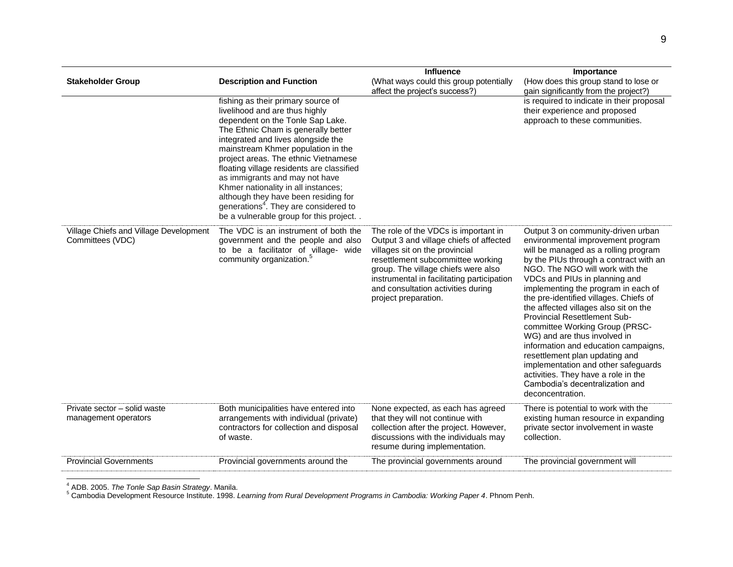|                                                                                                                                                                                                                                                                                                                                                                                                                                                                                                                                  |                                                                                                                                                                                                                                                                                                           | Importance                                                                                                                                                                                                                                                                                                                                                                                                                                                                                                                                                                                                                                                                      |
|----------------------------------------------------------------------------------------------------------------------------------------------------------------------------------------------------------------------------------------------------------------------------------------------------------------------------------------------------------------------------------------------------------------------------------------------------------------------------------------------------------------------------------|-----------------------------------------------------------------------------------------------------------------------------------------------------------------------------------------------------------------------------------------------------------------------------------------------------------|---------------------------------------------------------------------------------------------------------------------------------------------------------------------------------------------------------------------------------------------------------------------------------------------------------------------------------------------------------------------------------------------------------------------------------------------------------------------------------------------------------------------------------------------------------------------------------------------------------------------------------------------------------------------------------|
| <b>Description and Function</b>                                                                                                                                                                                                                                                                                                                                                                                                                                                                                                  | (What ways could this group potentially<br>affect the project's success?)                                                                                                                                                                                                                                 | (How does this group stand to lose or<br>gain significantly from the project?)                                                                                                                                                                                                                                                                                                                                                                                                                                                                                                                                                                                                  |
| fishing as their primary source of<br>livelihood and are thus highly<br>dependent on the Tonle Sap Lake.<br>The Ethnic Cham is generally better<br>integrated and lives alongside the<br>mainstream Khmer population in the<br>project areas. The ethnic Vietnamese<br>floating village residents are classified<br>as immigrants and may not have<br>Khmer nationality in all instances;<br>although they have been residing for<br>generations <sup>4</sup> . They are considered to<br>be a vulnerable group for this project |                                                                                                                                                                                                                                                                                                           | is required to indicate in their proposal<br>their experience and proposed<br>approach to these communities.                                                                                                                                                                                                                                                                                                                                                                                                                                                                                                                                                                    |
| The VDC is an instrument of both the<br>government and the people and also<br>to be a facilitator of village- wide<br>community organization. <sup>5</sup>                                                                                                                                                                                                                                                                                                                                                                       | The role of the VDCs is important in<br>Output 3 and village chiefs of affected<br>villages sit on the provincial<br>resettlement subcommittee working<br>group. The village chiefs were also<br>instrumental in facilitating participation<br>and consultation activities during<br>project preparation. | Output 3 on community-driven urban<br>environmental improvement program<br>will be managed as a rolling program<br>by the PIUs through a contract with an<br>NGO. The NGO will work with the<br>VDCs and PIUs in planning and<br>implementing the program in each of<br>the pre-identified villages. Chiefs of<br>the affected villages also sit on the<br><b>Provincial Resettlement Sub-</b><br>committee Working Group (PRSC-<br>WG) and are thus involved in<br>information and education campaigns,<br>resettlement plan updating and<br>implementation and other safeguards<br>activities. They have a role in the<br>Cambodia's decentralization and<br>deconcentration. |
| Both municipalities have entered into<br>arrangements with individual (private)<br>contractors for collection and disposal<br>of waste.                                                                                                                                                                                                                                                                                                                                                                                          | None expected, as each has agreed<br>that they will not continue with<br>collection after the project. However,<br>discussions with the individuals may<br>resume during implementation.                                                                                                                  | There is potential to work with the<br>existing human resource in expanding<br>private sector involvement in waste<br>collection.                                                                                                                                                                                                                                                                                                                                                                                                                                                                                                                                               |
| Provincial governments around the                                                                                                                                                                                                                                                                                                                                                                                                                                                                                                | The provincial governments around                                                                                                                                                                                                                                                                         | The provincial government will                                                                                                                                                                                                                                                                                                                                                                                                                                                                                                                                                                                                                                                  |
|                                                                                                                                                                                                                                                                                                                                                                                                                                                                                                                                  |                                                                                                                                                                                                                                                                                                           | <b>Influence</b>                                                                                                                                                                                                                                                                                                                                                                                                                                                                                                                                                                                                                                                                |

<sup>4</sup> ADB. 2005. *The Tonle Sap Basin Strategy*. Manila.

<sup>5</sup> Cambodia Development Resource Institute. 1998. *Learning from Rural Development Programs in Cambodia: Working Paper 4*. Phnom Penh.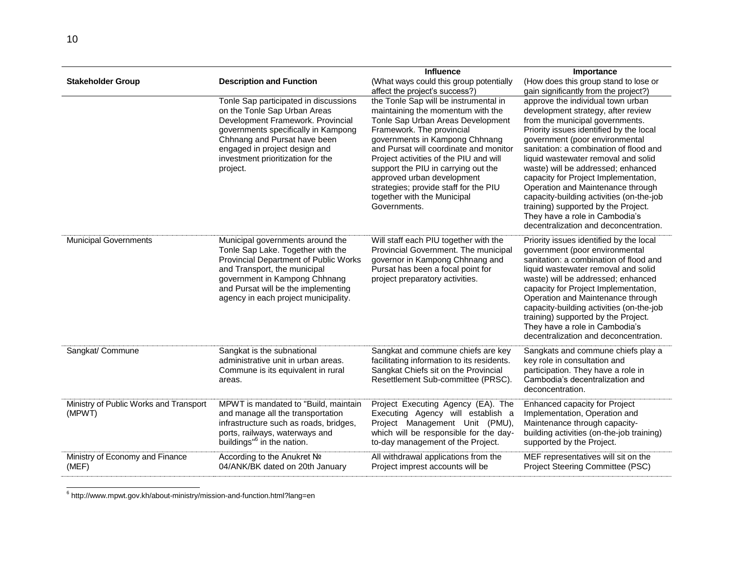|                                                  |                                                                                                                                                                                                                                                                     | <b>Influence</b>                                                                                                                                                                                                                                                                                                                                                                                                                | Importance                                                                                                                                                                                                                                                                                                                                                                                                                                                                                                                                                |
|--------------------------------------------------|---------------------------------------------------------------------------------------------------------------------------------------------------------------------------------------------------------------------------------------------------------------------|---------------------------------------------------------------------------------------------------------------------------------------------------------------------------------------------------------------------------------------------------------------------------------------------------------------------------------------------------------------------------------------------------------------------------------|-----------------------------------------------------------------------------------------------------------------------------------------------------------------------------------------------------------------------------------------------------------------------------------------------------------------------------------------------------------------------------------------------------------------------------------------------------------------------------------------------------------------------------------------------------------|
| <b>Stakeholder Group</b>                         | <b>Description and Function</b>                                                                                                                                                                                                                                     | (What ways could this group potentially                                                                                                                                                                                                                                                                                                                                                                                         | (How does this group stand to lose or                                                                                                                                                                                                                                                                                                                                                                                                                                                                                                                     |
|                                                  |                                                                                                                                                                                                                                                                     | affect the project's success?)                                                                                                                                                                                                                                                                                                                                                                                                  | gain significantly from the project?)                                                                                                                                                                                                                                                                                                                                                                                                                                                                                                                     |
|                                                  | Tonle Sap participated in discussions<br>on the Tonle Sap Urban Areas<br>Development Framework. Provincial<br>governments specifically in Kampong<br>Chhnang and Pursat have been<br>engaged in project design and<br>investment prioritization for the<br>project. | the Tonle Sap will be instrumental in<br>maintaining the momentum with the<br>Tonle Sap Urban Areas Development<br>Framework. The provincial<br>governments in Kampong Chhnang<br>and Pursat will coordinate and monitor<br>Project activities of the PIU and will<br>support the PIU in carrying out the<br>approved urban development<br>strategies; provide staff for the PIU<br>together with the Municipal<br>Governments. | approve the individual town urban<br>development strategy, after review<br>from the municipal governments.<br>Priority issues identified by the local<br>government (poor environmental<br>sanitation: a combination of flood and<br>liquid wastewater removal and solid<br>waste) will be addressed; enhanced<br>capacity for Project Implementation,<br>Operation and Maintenance through<br>capacity-building activities (on-the-job<br>training) supported by the Project.<br>They have a role in Cambodia's<br>decentralization and deconcentration. |
| <b>Municipal Governments</b>                     | Municipal governments around the<br>Tonle Sap Lake. Together with the<br>Provincial Department of Public Works<br>and Transport, the municipal<br>government in Kampong Chhnang<br>and Pursat will be the implementing<br>agency in each project municipality.      | Will staff each PIU together with the<br>Provincial Government. The municipal<br>governor in Kampong Chhnang and<br>Pursat has been a focal point for<br>project preparatory activities.                                                                                                                                                                                                                                        | Priority issues identified by the local<br>government (poor environmental<br>sanitation: a combination of flood and<br>liquid wastewater removal and solid<br>waste) will be addressed; enhanced<br>capacity for Project Implementation,<br>Operation and Maintenance through<br>capacity-building activities (on-the-job<br>training) supported by the Project.<br>They have a role in Cambodia's<br>decentralization and deconcentration.                                                                                                               |
| Sangkat/ Commune                                 | Sangkat is the subnational<br>administrative unit in urban areas.<br>Commune is its equivalent in rural<br>areas.                                                                                                                                                   | Sangkat and commune chiefs are key<br>facilitating information to its residents.<br>Sangkat Chiefs sit on the Provincial<br>Resettlement Sub-committee (PRSC).                                                                                                                                                                                                                                                                  | Sangkats and commune chiefs play a<br>key role in consultation and<br>participation. They have a role in<br>Cambodia's decentralization and<br>deconcentration.                                                                                                                                                                                                                                                                                                                                                                                           |
| Ministry of Public Works and Transport<br>(MPWT) | MPWT is mandated to "Build, maintain<br>and manage all the transportation<br>infrastructure such as roads, bridges,<br>ports, railways, waterways and<br>buildings" <sup>6</sup> in the nation.                                                                     | Project Executing Agency (EA). The<br>Executing Agency will establish a<br>Project Management Unit (PMU),<br>which will be responsible for the day-<br>to-day management of the Project.                                                                                                                                                                                                                                        | Enhanced capacity for Project<br>Implementation, Operation and<br>Maintenance through capacity-<br>building activities (on-the-job training)<br>supported by the Project.                                                                                                                                                                                                                                                                                                                                                                                 |
| Ministry of Economy and Finance<br>(MEF)         | According to the Anukret Nº<br>04/ANK/BK dated on 20th January                                                                                                                                                                                                      | All withdrawal applications from the<br>Project imprest accounts will be                                                                                                                                                                                                                                                                                                                                                        | MEF representatives will sit on the<br>Project Steering Committee (PSC)                                                                                                                                                                                                                                                                                                                                                                                                                                                                                   |

<sup>&</sup>lt;sup>6</sup> http://www.mpwt.gov.kh/about-ministry/mission-and-function.html?lang=en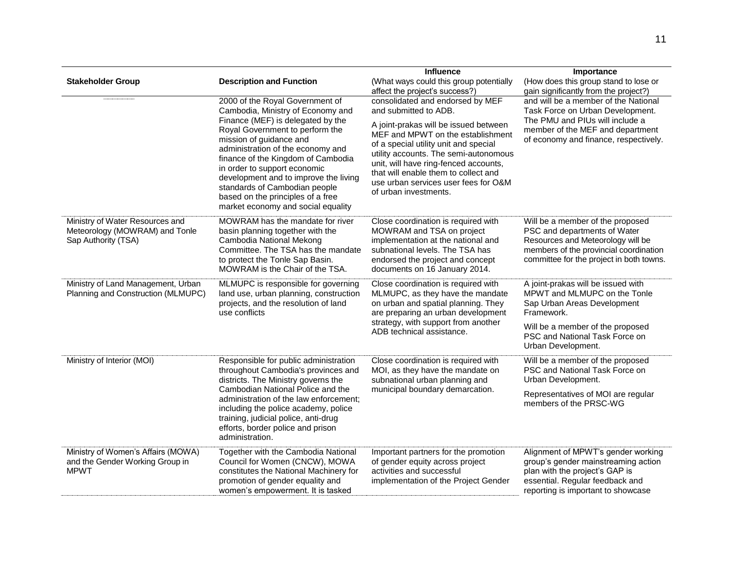|                                                                                          |                                                                                                                                                                                                                                                                                                                                                                 | <b>Influence</b>                                                                                                                                                                                                                                                                                               | Importance                                                                                                                                                                                  |
|------------------------------------------------------------------------------------------|-----------------------------------------------------------------------------------------------------------------------------------------------------------------------------------------------------------------------------------------------------------------------------------------------------------------------------------------------------------------|----------------------------------------------------------------------------------------------------------------------------------------------------------------------------------------------------------------------------------------------------------------------------------------------------------------|---------------------------------------------------------------------------------------------------------------------------------------------------------------------------------------------|
| <b>Stakeholder Group</b>                                                                 | <b>Description and Function</b>                                                                                                                                                                                                                                                                                                                                 | (What ways could this group potentially<br>affect the project's success?)                                                                                                                                                                                                                                      | (How does this group stand to lose or<br>gain significantly from the project?)                                                                                                              |
|                                                                                          | 2000 of the Royal Government of<br>Cambodia, Ministry of Economy and                                                                                                                                                                                                                                                                                            | consolidated and endorsed by MEF<br>and submitted to ADB.                                                                                                                                                                                                                                                      | and will be a member of the National<br>Task Force on Urban Development.                                                                                                                    |
|                                                                                          | Finance (MEF) is delegated by the<br>Royal Government to perform the<br>mission of guidance and<br>administration of the economy and<br>finance of the Kingdom of Cambodia<br>in order to support economic<br>development and to improve the living<br>standards of Cambodian people<br>based on the principles of a free<br>market economy and social equality | A joint-prakas will be issued between<br>MEF and MPWT on the establishment<br>of a special utility unit and special<br>utility accounts. The semi-autonomous<br>unit, will have ring-fenced accounts,<br>that will enable them to collect and<br>use urban services user fees for O&M<br>of urban investments. | The PMU and PIUs will include a<br>member of the MEF and department<br>of economy and finance, respectively.                                                                                |
| Ministry of Water Resources and<br>Meteorology (MOWRAM) and Tonle<br>Sap Authority (TSA) | MOWRAM has the mandate for river<br>basin planning together with the<br>Cambodia National Mekong<br>Committee. The TSA has the mandate<br>to protect the Tonle Sap Basin.<br>MOWRAM is the Chair of the TSA.                                                                                                                                                    | Close coordination is required with<br>MOWRAM and TSA on project<br>implementation at the national and<br>subnational levels. The TSA has<br>endorsed the project and concept<br>documents on 16 January 2014.                                                                                                 | Will be a member of the proposed<br>PSC and departments of Water<br>Resources and Meteorology will be<br>members of the provincial coordination<br>committee for the project in both towns. |
| Ministry of Land Management, Urban<br>Planning and Construction (MLMUPC)                 | MLMUPC is responsible for governing<br>land use, urban planning, construction<br>projects, and the resolution of land<br>use conflicts                                                                                                                                                                                                                          | Close coordination is required with<br>MLMUPC, as they have the mandate<br>on urban and spatial planning. They<br>are preparing an urban development<br>strategy, with support from another<br>ADB technical assistance.                                                                                       | A joint-prakas will be issued with<br>MPWT and MLMUPC on the Tonle<br>Sap Urban Areas Development<br>Framework.                                                                             |
|                                                                                          |                                                                                                                                                                                                                                                                                                                                                                 |                                                                                                                                                                                                                                                                                                                | Will be a member of the proposed<br>PSC and National Task Force on<br>Urban Development.                                                                                                    |
| Ministry of Interior (MOI)                                                               | Responsible for public administration<br>throughout Cambodia's provinces and<br>districts. The Ministry governs the<br>Cambodian National Police and the<br>administration of the law enforcement;<br>including the police academy, police<br>training, judicial police, anti-drug<br>efforts, border police and prison<br>administration.                      | Close coordination is required with<br>MOI, as they have the mandate on<br>subnational urban planning and                                                                                                                                                                                                      | Will be a member of the proposed<br>PSC and National Task Force on<br>Urban Development.                                                                                                    |
|                                                                                          |                                                                                                                                                                                                                                                                                                                                                                 | municipal boundary demarcation.                                                                                                                                                                                                                                                                                | Representatives of MOI are regular<br>members of the PRSC-WG                                                                                                                                |
| Ministry of Women's Affairs (MOWA)<br>and the Gender Working Group in<br><b>MPWT</b>     | Together with the Cambodia National<br>Council for Women (CNCW), MOWA<br>constitutes the National Machinery for<br>promotion of gender equality and<br>women's empowerment. It is tasked                                                                                                                                                                        | Important partners for the promotion<br>of gender equity across project<br>activities and successful<br>implementation of the Project Gender                                                                                                                                                                   | Alignment of MPWT's gender working<br>group's gender mainstreaming action<br>plan with the project's GAP is<br>essential. Regular feedback and<br>reporting is important to showcase        |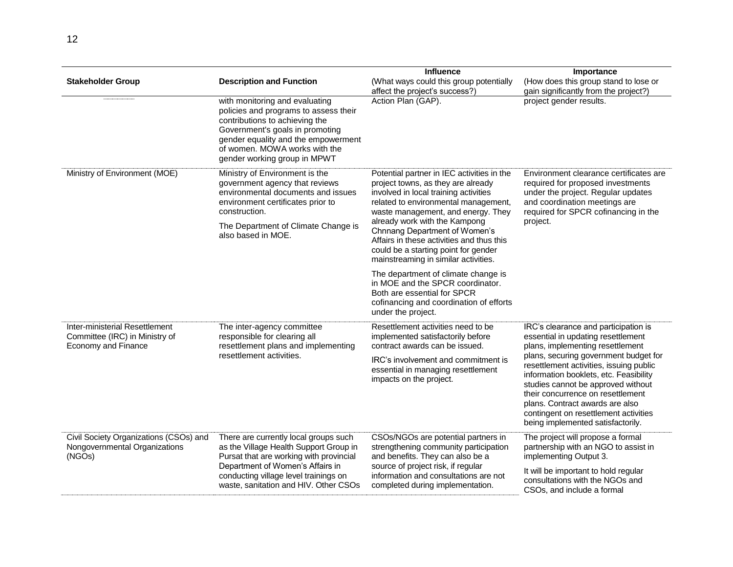|                                                                                         |                                                                                                                                                                                                                                                      | <b>Influence</b>                                                                                                                                                                                                                                                                                                                                                                                       | Importance                                                                                                                                                                                                                                                                                                             |
|-----------------------------------------------------------------------------------------|------------------------------------------------------------------------------------------------------------------------------------------------------------------------------------------------------------------------------------------------------|--------------------------------------------------------------------------------------------------------------------------------------------------------------------------------------------------------------------------------------------------------------------------------------------------------------------------------------------------------------------------------------------------------|------------------------------------------------------------------------------------------------------------------------------------------------------------------------------------------------------------------------------------------------------------------------------------------------------------------------|
| <b>Stakeholder Group</b>                                                                | <b>Description and Function</b>                                                                                                                                                                                                                      | (What ways could this group potentially<br>affect the project's success?)                                                                                                                                                                                                                                                                                                                              | (How does this group stand to lose or<br>gain significantly from the project?)                                                                                                                                                                                                                                         |
|                                                                                         | with monitoring and evaluating<br>policies and programs to assess their<br>contributions to achieving the<br>Government's goals in promoting<br>gender equality and the empowerment<br>of women. MOWA works with the<br>gender working group in MPWT | Action Plan (GAP).                                                                                                                                                                                                                                                                                                                                                                                     | project gender results.                                                                                                                                                                                                                                                                                                |
| Ministry of Environment (MOE)                                                           | Ministry of Environment is the<br>government agency that reviews<br>environmental documents and issues<br>environment certificates prior to<br>construction.<br>The Department of Climate Change is<br>also based in MOE.                            | Potential partner in IEC activities in the<br>project towns, as they are already<br>involved in local training activities<br>related to environmental management,<br>waste management, and energy. They<br>already work with the Kampong<br>Chnnang Department of Women's<br>Affairs in these activities and thus this<br>could be a starting point for gender<br>mainstreaming in similar activities. | Environment clearance certificates are<br>required for proposed investments<br>under the project. Regular updates<br>and coordination meetings are<br>required for SPCR cofinancing in the<br>project.                                                                                                                 |
|                                                                                         |                                                                                                                                                                                                                                                      | The department of climate change is<br>in MOE and the SPCR coordinator.<br>Both are essential for SPCR<br>cofinancing and coordination of efforts<br>under the project.                                                                                                                                                                                                                                |                                                                                                                                                                                                                                                                                                                        |
| Inter-ministerial Resettlement<br>Committee (IRC) in Ministry of<br>Economy and Finance | The inter-agency committee<br>responsible for clearing all<br>resettlement plans and implementing                                                                                                                                                    | Resettlement activities need to be<br>implemented satisfactorily before<br>contract awards can be issued.                                                                                                                                                                                                                                                                                              | IRC's clearance and participation is<br>essential in updating resettlement<br>plans, implementing resettlement                                                                                                                                                                                                         |
|                                                                                         | resettlement activities.                                                                                                                                                                                                                             | IRC's involvement and commitment is<br>essential in managing resettlement<br>impacts on the project.                                                                                                                                                                                                                                                                                                   | plans, securing government budget for<br>resettlement activities, issuing public<br>information booklets, etc. Feasibility<br>studies cannot be approved without<br>their concurrence on resettlement<br>plans. Contract awards are also<br>contingent on resettlement activities<br>being implemented satisfactorily. |
| Civil Society Organizations (CSOs) and<br>Nongovernmental Organizations<br>(NGOs)       | There are currently local groups such<br>as the Village Health Support Group in<br>Pursat that are working with provincial                                                                                                                           | CSOs/NGOs are potential partners in<br>strengthening community participation<br>and benefits. They can also be a                                                                                                                                                                                                                                                                                       | The project will propose a formal<br>partnership with an NGO to assist in<br>implementing Output 3.                                                                                                                                                                                                                    |
|                                                                                         | Department of Women's Affairs in<br>conducting village level trainings on<br>waste, sanitation and HIV. Other CSOs                                                                                                                                   | source of project risk, if regular<br>information and consultations are not<br>completed during implementation.                                                                                                                                                                                                                                                                                        | It will be important to hold regular<br>consultations with the NGOs and<br>CSOs, and include a formal                                                                                                                                                                                                                  |
|                                                                                         |                                                                                                                                                                                                                                                      |                                                                                                                                                                                                                                                                                                                                                                                                        |                                                                                                                                                                                                                                                                                                                        |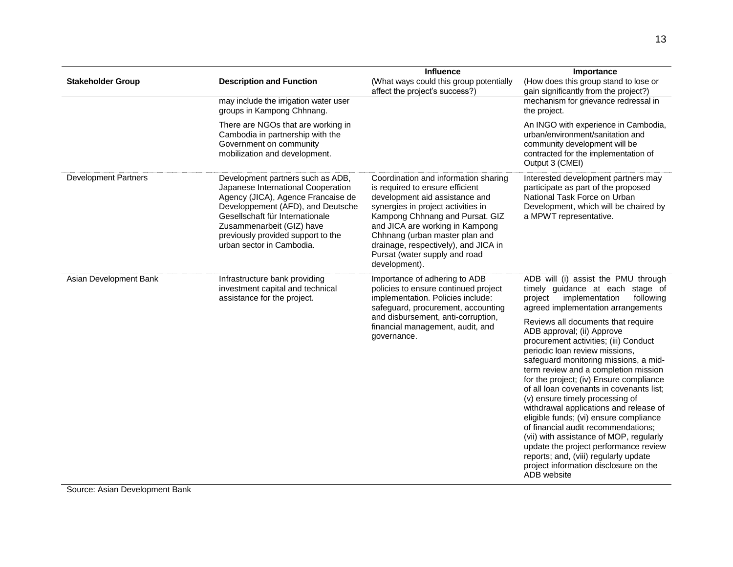| <b>Stakeholder Group</b>    | <b>Description and Function</b>                                                                                                                                                                                                                                                       | <b>Influence</b><br>(What ways could this group potentially<br>affect the project's success?)                                                                                                                                                                                                                                                     | Importance<br>(How does this group stand to lose or<br>gain significantly from the project?)                                                                                                                                                                                                                                                                                                                                                                                                                                                                                                                                                                           |
|-----------------------------|---------------------------------------------------------------------------------------------------------------------------------------------------------------------------------------------------------------------------------------------------------------------------------------|---------------------------------------------------------------------------------------------------------------------------------------------------------------------------------------------------------------------------------------------------------------------------------------------------------------------------------------------------|------------------------------------------------------------------------------------------------------------------------------------------------------------------------------------------------------------------------------------------------------------------------------------------------------------------------------------------------------------------------------------------------------------------------------------------------------------------------------------------------------------------------------------------------------------------------------------------------------------------------------------------------------------------------|
|                             | may include the irrigation water user<br>groups in Kampong Chhnang.                                                                                                                                                                                                                   |                                                                                                                                                                                                                                                                                                                                                   | mechanism for grievance redressal in<br>the project.                                                                                                                                                                                                                                                                                                                                                                                                                                                                                                                                                                                                                   |
|                             | There are NGOs that are working in<br>Cambodia in partnership with the<br>Government on community<br>mobilization and development.                                                                                                                                                    |                                                                                                                                                                                                                                                                                                                                                   | An INGO with experience in Cambodia,<br>urban/environment/sanitation and<br>community development will be<br>contracted for the implementation of<br>Output 3 (CMEI)                                                                                                                                                                                                                                                                                                                                                                                                                                                                                                   |
| <b>Development Partners</b> | Development partners such as ADB,<br>Japanese International Cooperation<br>Agency (JICA), Agence Francaise de<br>Developpement (AFD), and Deutsche<br>Gesellschaft für Internationale<br>Zusammenarbeit (GIZ) have<br>previously provided support to the<br>urban sector in Cambodia. | Coordination and information sharing<br>is required to ensure efficient<br>development aid assistance and<br>synergies in project activities in<br>Kampong Chhnang and Pursat. GIZ<br>and JICA are working in Kampong<br>Chhnang (urban master plan and<br>drainage, respectively), and JICA in<br>Pursat (water supply and road<br>development). | Interested development partners may<br>participate as part of the proposed<br>National Task Force on Urban<br>Development, which will be chaired by<br>a MPWT representative.                                                                                                                                                                                                                                                                                                                                                                                                                                                                                          |
| Asian Development Bank      | Infrastructure bank providing<br>investment capital and technical<br>assistance for the project.                                                                                                                                                                                      | Importance of adhering to ADB<br>policies to ensure continued project<br>implementation. Policies include:<br>safeguard, procurement, accounting                                                                                                                                                                                                  | ADB will (i) assist the PMU through<br>timely guidance at each stage of<br>project<br>implementation<br>following<br>agreed implementation arrangements                                                                                                                                                                                                                                                                                                                                                                                                                                                                                                                |
|                             |                                                                                                                                                                                                                                                                                       | and disbursement, anti-corruption,<br>financial management, audit, and<br>governance.                                                                                                                                                                                                                                                             | Reviews all documents that require<br>ADB approval; (ii) Approve<br>procurement activities; (iii) Conduct<br>periodic loan review missions,<br>safeguard monitoring missions, a mid-<br>term review and a completion mission<br>for the project; (iv) Ensure compliance<br>of all loan covenants in covenants list;<br>(v) ensure timely processing of<br>withdrawal applications and release of<br>eligible funds; (vi) ensure compliance<br>of financial audit recommendations;<br>(vii) with assistance of MOP, regularly<br>update the project performance review<br>reports; and, (viii) regularly update<br>project information disclosure on the<br>ADB website |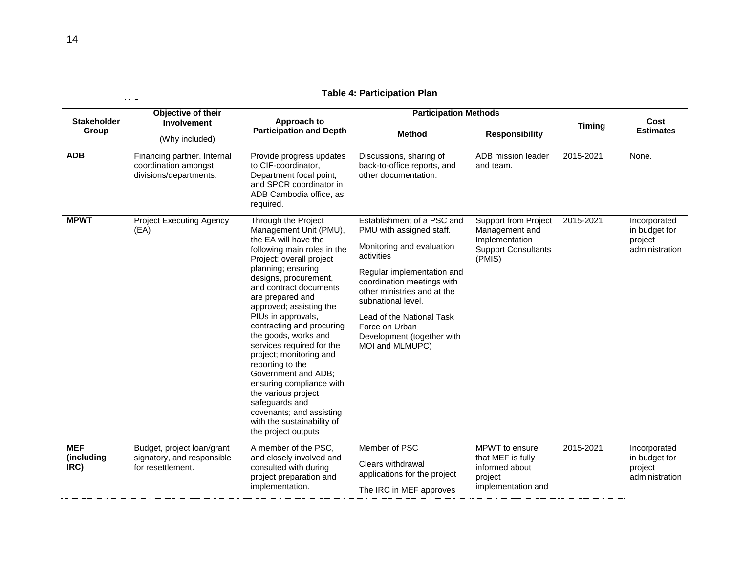| <b>Table 4: Participation Plan</b> |
|------------------------------------|
|------------------------------------|

| <b>Stakeholder</b>               | Objective of their<br><b>Involvement</b>                                      | Approach to                                                                                                                                                                                                                                                                                                                                                                                                                                                                                                                                                                                  | <b>Participation Methods</b>                                                                                                                                                                                                                                                                                       |                                                                                                         | <b>Timing</b> | Cost                                                       |
|----------------------------------|-------------------------------------------------------------------------------|----------------------------------------------------------------------------------------------------------------------------------------------------------------------------------------------------------------------------------------------------------------------------------------------------------------------------------------------------------------------------------------------------------------------------------------------------------------------------------------------------------------------------------------------------------------------------------------------|--------------------------------------------------------------------------------------------------------------------------------------------------------------------------------------------------------------------------------------------------------------------------------------------------------------------|---------------------------------------------------------------------------------------------------------|---------------|------------------------------------------------------------|
| <b>Group</b>                     | (Why included)                                                                | <b>Participation and Depth</b>                                                                                                                                                                                                                                                                                                                                                                                                                                                                                                                                                               | <b>Method</b>                                                                                                                                                                                                                                                                                                      | <b>Responsibility</b>                                                                                   |               | <b>Estimates</b>                                           |
| <b>ADB</b>                       | Financing partner. Internal<br>coordination amongst<br>divisions/departments. | Provide progress updates<br>to CIF-coordinator,<br>Department focal point,<br>and SPCR coordinator in<br>ADB Cambodia office, as<br>required.                                                                                                                                                                                                                                                                                                                                                                                                                                                | Discussions, sharing of<br>back-to-office reports, and<br>other documentation.                                                                                                                                                                                                                                     | ADB mission leader<br>and team.                                                                         | 2015-2021     | None.                                                      |
| <b>MPWT</b>                      | <b>Project Executing Agency</b><br>(EA)                                       | Through the Project<br>Management Unit (PMU),<br>the EA will have the<br>following main roles in the<br>Project: overall project<br>planning; ensuring<br>designs, procurement,<br>and contract documents<br>are prepared and<br>approved; assisting the<br>PIUs in approvals,<br>contracting and procuring<br>the goods, works and<br>services required for the<br>project; monitoring and<br>reporting to the<br>Government and ADB;<br>ensuring compliance with<br>the various project<br>safeguards and<br>covenants; and assisting<br>with the sustainability of<br>the project outputs | Establishment of a PSC and<br>PMU with assigned staff.<br>Monitoring and evaluation<br>activities<br>Regular implementation and<br>coordination meetings with<br>other ministries and at the<br>subnational level.<br>Lead of the National Task<br>Force on Urban<br>Development (together with<br>MOI and MLMUPC) | <b>Support from Project</b><br>Management and<br>Implementation<br><b>Support Consultants</b><br>(PMIS) | 2015-2021     | Incorporated<br>in budget for<br>project<br>administration |
| <b>MEF</b><br>(including<br>IRC) | Budget, project loan/grant<br>signatory, and responsible<br>for resettlement. | A member of the PSC,<br>and closely involved and<br>consulted with during<br>project preparation and<br>implementation.                                                                                                                                                                                                                                                                                                                                                                                                                                                                      | Member of PSC<br>Clears withdrawal<br>applications for the project<br>The IRC in MEF approves                                                                                                                                                                                                                      | MPWT to ensure<br>that MEF is fully<br>informed about<br>project<br>implementation and                  | 2015-2021     | Incorporated<br>in budget for<br>project<br>administration |

 $\cdots \cdots \cdots \cdots$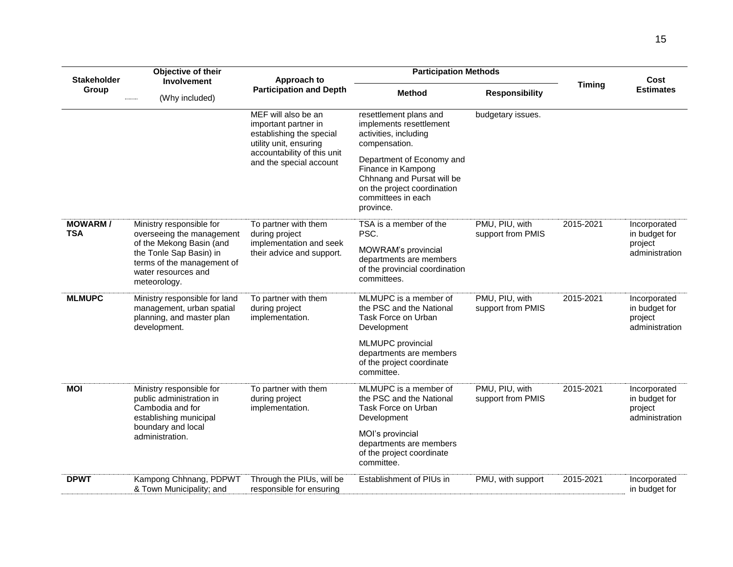|                              | Objective of their                                                                                                                                                                |                                                                                                                                                             | <b>Participation Methods</b>                                                                                                                                                                                                                   |                                     |               |                                                            |
|------------------------------|-----------------------------------------------------------------------------------------------------------------------------------------------------------------------------------|-------------------------------------------------------------------------------------------------------------------------------------------------------------|------------------------------------------------------------------------------------------------------------------------------------------------------------------------------------------------------------------------------------------------|-------------------------------------|---------------|------------------------------------------------------------|
| <b>Stakeholder</b><br>Group  | Involvement<br>(Why included)                                                                                                                                                     | Approach to<br><b>Participation and Depth</b>                                                                                                               | <b>Method</b>                                                                                                                                                                                                                                  | <b>Responsibility</b>               | <b>Timing</b> | Cost<br><b>Estimates</b>                                   |
|                              |                                                                                                                                                                                   | MEF will also be an<br>important partner in<br>establishing the special<br>utility unit, ensuring<br>accountability of this unit<br>and the special account | resettlement plans and<br>implements resettlement<br>activities, including<br>compensation.<br>Department of Economy and<br>Finance in Kampong<br>Chhnang and Pursat will be<br>on the project coordination<br>committees in each<br>province. | budgetary issues.                   |               |                                                            |
| <b>MOWARM/</b><br><b>TSA</b> | Ministry responsible for<br>overseeing the management<br>of the Mekong Basin (and<br>the Tonle Sap Basin) in<br>terms of the management of<br>water resources and<br>meteorology. | To partner with them<br>during project<br>implementation and seek<br>their advice and support.                                                              | TSA is a member of the<br>PSC.<br>MOWRAM's provincial<br>departments are members<br>of the provincial coordination<br>committees.                                                                                                              | PMU, PIU, with<br>support from PMIS | 2015-2021     | Incorporated<br>in budget for<br>project<br>administration |
| <b>MLMUPC</b>                | Ministry responsible for land<br>management, urban spatial<br>planning, and master plan<br>development.                                                                           | To partner with them<br>during project<br>implementation.                                                                                                   | MLMUPC is a member of<br>the PSC and the National<br>Task Force on Urban<br>Development                                                                                                                                                        | PMU, PIU, with<br>support from PMIS | 2015-2021     | Incorporated<br>in budget for<br>project<br>administration |
|                              |                                                                                                                                                                                   |                                                                                                                                                             | MLMUPC provincial<br>departments are members<br>of the project coordinate<br>committee.                                                                                                                                                        |                                     |               |                                                            |
| <b>MOI</b>                   | Ministry responsible for<br>public administration in<br>Cambodia and for<br>establishing municipal                                                                                | To partner with them<br>during project<br>implementation.                                                                                                   | MLMUPC is a member of<br>the PSC and the National<br>Task Force on Urban<br>Development                                                                                                                                                        | PMU, PIU, with<br>support from PMIS | 2015-2021     | Incorporated<br>in budget for<br>project<br>administration |
|                              | boundary and local<br>administration.                                                                                                                                             |                                                                                                                                                             | MOI's provincial<br>departments are members<br>of the project coordinate<br>committee.                                                                                                                                                         |                                     |               |                                                            |
| <b>DPWT</b>                  | Kampong Chhnang, PDPWT<br>& Town Municipality; and                                                                                                                                | Through the PIUs, will be<br>responsible for ensuring                                                                                                       | Establishment of PIUs in                                                                                                                                                                                                                       | PMU, with support                   | 2015-2021     | Incorporated<br>in budget for                              |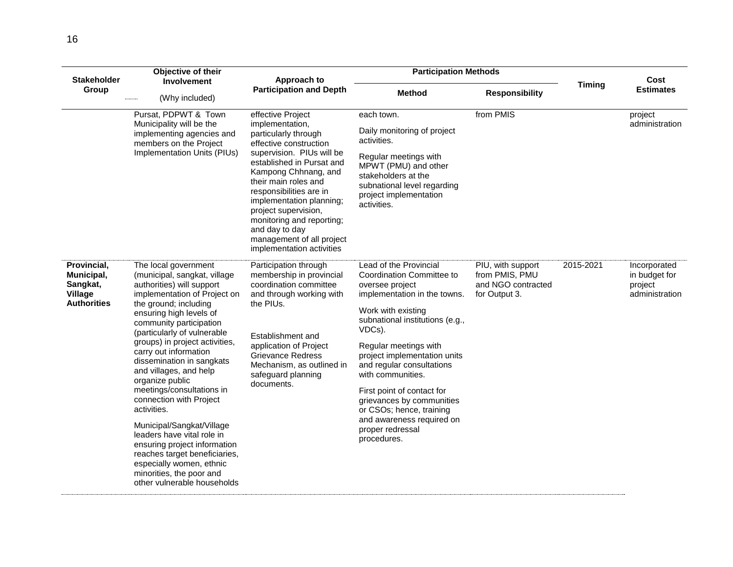|                                                                        | Objective of their                                                                                                                                                                                                                                                                                                                                                                                                                                                                                                                                                                                                                                             |                                                                                                                                                                                                                                                                                                                                                                                          | <b>Participation Methods</b>                                                                                                                                                                                                                                                                                                                                                                                                                |                                                                            |               |                                                            |
|------------------------------------------------------------------------|----------------------------------------------------------------------------------------------------------------------------------------------------------------------------------------------------------------------------------------------------------------------------------------------------------------------------------------------------------------------------------------------------------------------------------------------------------------------------------------------------------------------------------------------------------------------------------------------------------------------------------------------------------------|------------------------------------------------------------------------------------------------------------------------------------------------------------------------------------------------------------------------------------------------------------------------------------------------------------------------------------------------------------------------------------------|---------------------------------------------------------------------------------------------------------------------------------------------------------------------------------------------------------------------------------------------------------------------------------------------------------------------------------------------------------------------------------------------------------------------------------------------|----------------------------------------------------------------------------|---------------|------------------------------------------------------------|
| Stakeholder<br>Group                                                   | Involvement<br>(Why included)                                                                                                                                                                                                                                                                                                                                                                                                                                                                                                                                                                                                                                  | Approach to<br><b>Participation and Depth</b>                                                                                                                                                                                                                                                                                                                                            | <b>Method</b>                                                                                                                                                                                                                                                                                                                                                                                                                               | <b>Responsibility</b>                                                      | <b>Timing</b> | Cost<br><b>Estimates</b>                                   |
|                                                                        | Pursat, PDPWT & Town<br>Municipality will be the<br>implementing agencies and<br>members on the Project<br>Implementation Units (PIUs)                                                                                                                                                                                                                                                                                                                                                                                                                                                                                                                         | effective Project<br>implementation,<br>particularly through<br>effective construction<br>supervision. PIUs will be<br>established in Pursat and<br>Kampong Chhnang, and<br>their main roles and<br>responsibilities are in<br>implementation planning;<br>project supervision,<br>monitoring and reporting;<br>and day to day<br>management of all project<br>implementation activities | each town.<br>Daily monitoring of project<br>activities.<br>Regular meetings with<br>MPWT (PMU) and other<br>stakeholders at the<br>subnational level regarding<br>project implementation<br>activities.                                                                                                                                                                                                                                    | from PMIS                                                                  |               | project<br>administration                                  |
| Provincial,<br>Municipal,<br>Sangkat,<br>Village<br><b>Authorities</b> | The local government<br>(municipal, sangkat, village<br>authorities) will support<br>implementation of Project on<br>the ground; including<br>ensuring high levels of<br>community participation<br>(particularly of vulnerable<br>groups) in project activities,<br>carry out information<br>dissemination in sangkats<br>and villages, and help<br>organize public<br>meetings/consultations in<br>connection with Project<br>activities.<br>Municipal/Sangkat/Village<br>leaders have vital role in<br>ensuring project information<br>reaches target beneficiaries,<br>especially women, ethnic<br>minorities, the poor and<br>other vulnerable households | Participation through<br>membership in provincial<br>coordination committee<br>and through working with<br>the PIUs.<br>Establishment and<br>application of Project<br><b>Grievance Redress</b><br>Mechanism, as outlined in<br>safeguard planning<br>documents.                                                                                                                         | Lead of the Provincial<br>Coordination Committee to<br>oversee project<br>implementation in the towns.<br>Work with existing<br>subnational institutions (e.g.,<br>VDCs).<br>Regular meetings with<br>project implementation units<br>and regular consultations<br>with communities.<br>First point of contact for<br>grievances by communities<br>or CSOs; hence, training<br>and awareness required on<br>proper redressal<br>procedures. | PIU, with support<br>from PMIS, PMU<br>and NGO contracted<br>for Output 3. | 2015-2021     | Incorporated<br>in budget for<br>project<br>administration |

 $\overline{a}$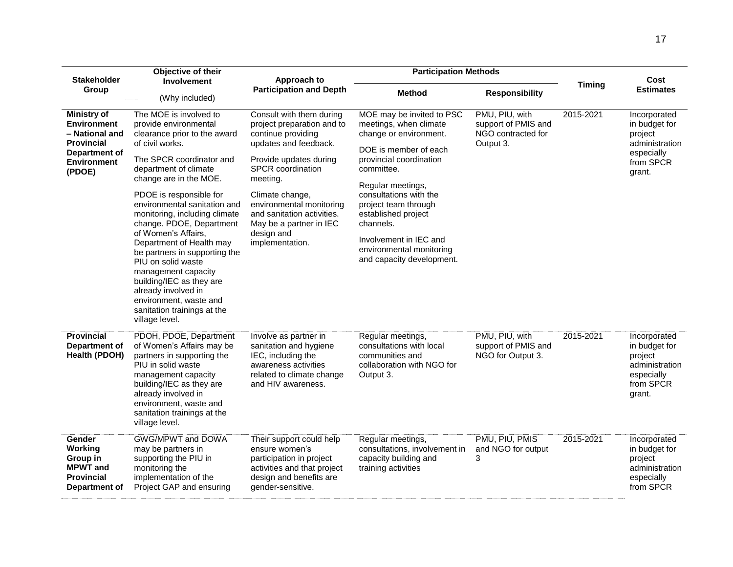| <b>Stakeholder</b>                                                                                                               | Objective of their<br><b>Involvement</b>                                                                                                                                                                                                                                                                                                                                                                                                                                                                                                                                 | Approach to                                                                                                                                                                                                                                                                                                      | <b>Participation Methods</b>                                                                                                                                                                                                                                                                                                                  |                                                                          |               | Cost                                                                                            |
|----------------------------------------------------------------------------------------------------------------------------------|--------------------------------------------------------------------------------------------------------------------------------------------------------------------------------------------------------------------------------------------------------------------------------------------------------------------------------------------------------------------------------------------------------------------------------------------------------------------------------------------------------------------------------------------------------------------------|------------------------------------------------------------------------------------------------------------------------------------------------------------------------------------------------------------------------------------------------------------------------------------------------------------------|-----------------------------------------------------------------------------------------------------------------------------------------------------------------------------------------------------------------------------------------------------------------------------------------------------------------------------------------------|--------------------------------------------------------------------------|---------------|-------------------------------------------------------------------------------------------------|
| Group                                                                                                                            | (Why included)                                                                                                                                                                                                                                                                                                                                                                                                                                                                                                                                                           | <b>Participation and Depth</b>                                                                                                                                                                                                                                                                                   | <b>Method</b>                                                                                                                                                                                                                                                                                                                                 | <b>Responsibility</b>                                                    | <b>Timing</b> | <b>Estimates</b>                                                                                |
| <b>Ministry of</b><br><b>Environment</b><br>- National and<br><b>Provincial</b><br>Department of<br><b>Environment</b><br>(PDOE) | The MOE is involved to<br>provide environmental<br>clearance prior to the award<br>of civil works.<br>The SPCR coordinator and<br>department of climate<br>change are in the MOE.<br>PDOE is responsible for<br>environmental sanitation and<br>monitoring, including climate<br>change. PDOE, Department<br>of Women's Affairs,<br>Department of Health may<br>be partners in supporting the<br>PIU on solid waste<br>management capacity<br>building/IEC as they are<br>already involved in<br>environment, waste and<br>sanitation trainings at the<br>village level. | Consult with them during<br>project preparation and to<br>continue providing<br>updates and feedback.<br>Provide updates during<br><b>SPCR</b> coordination<br>meeting.<br>Climate change,<br>environmental monitoring<br>and sanitation activities.<br>May be a partner in IEC<br>design and<br>implementation. | MOE may be invited to PSC<br>meetings, when climate<br>change or environment.<br>DOE is member of each<br>provincial coordination<br>committee.<br>Regular meetings,<br>consultations with the<br>project team through<br>established project<br>channels.<br>Involvement in IEC and<br>environmental monitoring<br>and capacity development. | PMU, PIU, with<br>support of PMIS and<br>NGO contracted for<br>Output 3. | 2015-2021     | Incorporated<br>in budget for<br>project<br>administration<br>especially<br>from SPCR<br>grant. |
| <b>Provincial</b><br>Department of<br>Health (PDOH)                                                                              | PDOH, PDOE, Department<br>of Women's Affairs may be<br>partners in supporting the<br>PIU in solid waste<br>management capacity<br>building/IEC as they are<br>already involved in<br>environment, waste and<br>sanitation trainings at the<br>village level.                                                                                                                                                                                                                                                                                                             | Involve as partner in<br>sanitation and hygiene<br>IEC, including the<br>awareness activities<br>related to climate change<br>and HIV awareness.                                                                                                                                                                 | Regular meetings,<br>consultations with local<br>communities and<br>collaboration with NGO for<br>Output 3.                                                                                                                                                                                                                                   | PMU, PIU, with<br>support of PMIS and<br>NGO for Output 3.               | 2015-2021     | Incorporated<br>in budget for<br>project<br>administration<br>especially<br>from SPCR<br>grant. |
| Gender<br>Working<br>Group in<br><b>MPWT</b> and<br><b>Provincial</b><br>Department of                                           | GWG/MPWT and DOWA<br>may be partners in<br>supporting the PIU in<br>monitoring the<br>implementation of the<br>Project GAP and ensuring                                                                                                                                                                                                                                                                                                                                                                                                                                  | Their support could help<br>ensure women's<br>participation in project<br>activities and that project<br>design and benefits are<br>gender-sensitive.                                                                                                                                                            | Regular meetings,<br>consultations, involvement in<br>capacity building and<br>training activities                                                                                                                                                                                                                                            | PMU, PIU, PMIS<br>and NGO for output<br>3                                | 2015-2021     | Incorporated<br>in budget for<br>project<br>administration<br>especially<br>from SPCR           |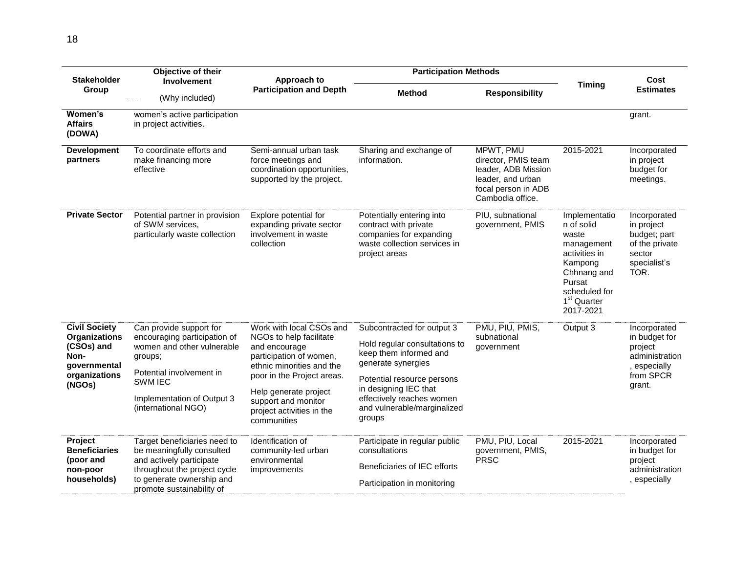| <b>Stakeholder</b>                                                                                            | Objective of their<br>Approach to                                                                                                                                                                   |                                                                                                                                                                                                                                                        | <b>Participation Methods</b>                                                                                                                                                                                                             |                                                                                                                         | Cost                                                                                                                                                             |                                                                                                   |
|---------------------------------------------------------------------------------------------------------------|-----------------------------------------------------------------------------------------------------------------------------------------------------------------------------------------------------|--------------------------------------------------------------------------------------------------------------------------------------------------------------------------------------------------------------------------------------------------------|------------------------------------------------------------------------------------------------------------------------------------------------------------------------------------------------------------------------------------------|-------------------------------------------------------------------------------------------------------------------------|------------------------------------------------------------------------------------------------------------------------------------------------------------------|---------------------------------------------------------------------------------------------------|
| Group                                                                                                         | <b>Involvement</b><br>(Why included)                                                                                                                                                                | <b>Participation and Depth</b>                                                                                                                                                                                                                         | <b>Method</b>                                                                                                                                                                                                                            | <b>Responsibility</b>                                                                                                   | <b>Timing</b>                                                                                                                                                    | Estimates                                                                                         |
| Women's<br><b>Affairs</b><br>(DOWA)                                                                           | women's active participation<br>in project activities.                                                                                                                                              |                                                                                                                                                                                                                                                        |                                                                                                                                                                                                                                          |                                                                                                                         |                                                                                                                                                                  | grant.                                                                                            |
| <b>Development</b><br>partners                                                                                | To coordinate efforts and<br>make financing more<br>effective                                                                                                                                       | Semi-annual urban task<br>force meetings and<br>coordination opportunities,<br>supported by the project.                                                                                                                                               | Sharing and exchange of<br>information.                                                                                                                                                                                                  | MPWT, PMU<br>director, PMIS team<br>leader, ADB Mission<br>leader, and urban<br>focal person in ADB<br>Cambodia office. | 2015-2021                                                                                                                                                        | Incorporated<br>in project<br>budget for<br>meetings.                                             |
| <b>Private Sector</b>                                                                                         | Potential partner in provision<br>of SWM services,<br>particularly waste collection                                                                                                                 | Explore potential for<br>expanding private sector<br>involvement in waste<br>collection                                                                                                                                                                | Potentially entering into<br>contract with private<br>companies for expanding<br>waste collection services in<br>project areas                                                                                                           | PIU, subnational<br>government, PMIS                                                                                    | Implementatio<br>n of solid<br>waste<br>management<br>activities in<br>Kampong<br>Chhnang and<br>Pursat<br>scheduled for<br>1 <sup>st</sup> Quarter<br>2017-2021 | Incorporated<br>in project<br>budget; part<br>of the private<br>sector<br>specialist's<br>TOR.    |
| <b>Civil Society</b><br><b>Organizations</b><br>(CSOs) and<br>Non-<br>qovernmental<br>organizations<br>(NGOs) | Can provide support for<br>encouraging participation of<br>women and other vulnerable<br>groups;<br>Potential involvement in<br><b>SWM IEC</b><br>Implementation of Output 3<br>(international NGO) | Work with local CSOs and<br>NGOs to help facilitate<br>and encourage<br>participation of women,<br>ethnic minorities and the<br>poor in the Project areas.<br>Help generate project<br>support and monitor<br>project activities in the<br>communities | Subcontracted for output 3<br>Hold regular consultations to<br>keep them informed and<br>generate synergies<br>Potential resource persons<br>in designing IEC that<br>effectively reaches women<br>and vulnerable/marginalized<br>groups | PMU, PIU, PMIS,<br>subnational<br>government                                                                            | Output 3                                                                                                                                                         | Incorporated<br>in budget for<br>project<br>administration<br>, especially<br>from SPCR<br>grant. |
| Project<br><b>Beneficiaries</b><br>(poor and<br>non-poor<br>households)                                       | Target beneficiaries need to<br>be meaningfully consulted<br>and actively participate<br>throughout the project cycle<br>to generate ownership and<br>promote sustainability of                     | Identification of<br>community-led urban<br>environmental<br>improvements                                                                                                                                                                              | Participate in regular public<br>consultations<br>Beneficiaries of IEC efforts<br>Participation in monitoring                                                                                                                            | PMU, PIU, Local<br>government, PMIS,<br><b>PRSC</b>                                                                     | 2015-2021                                                                                                                                                        | Incorporated<br>in budget for<br>project<br>administration<br>, especially                        |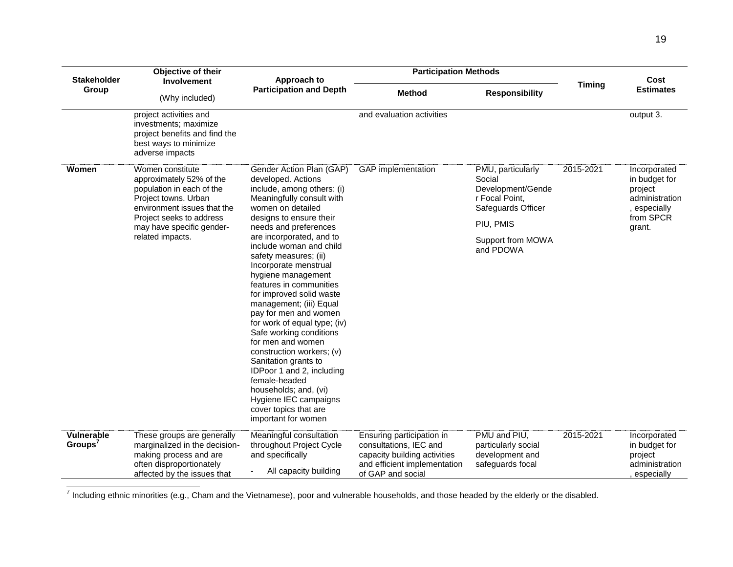|                                          | Objective of their                                                                                                                                                                                            |                                                                                                                                                                                                                                                                                                                                                                                                                                                                                                                                                                                                                                                                                                                   | <b>Participation Methods</b>                                                                                                             |                                                                                                                                         |               |                                                                                                 |  |
|------------------------------------------|---------------------------------------------------------------------------------------------------------------------------------------------------------------------------------------------------------------|-------------------------------------------------------------------------------------------------------------------------------------------------------------------------------------------------------------------------------------------------------------------------------------------------------------------------------------------------------------------------------------------------------------------------------------------------------------------------------------------------------------------------------------------------------------------------------------------------------------------------------------------------------------------------------------------------------------------|------------------------------------------------------------------------------------------------------------------------------------------|-----------------------------------------------------------------------------------------------------------------------------------------|---------------|-------------------------------------------------------------------------------------------------|--|
| <b>Stakeholder</b><br>Group              | <b>Involvement</b>                                                                                                                                                                                            | Approach to<br><b>Participation and Depth</b>                                                                                                                                                                                                                                                                                                                                                                                                                                                                                                                                                                                                                                                                     |                                                                                                                                          |                                                                                                                                         | <b>Timing</b> | Cost<br><b>Estimates</b>                                                                        |  |
|                                          | (Why included)                                                                                                                                                                                                |                                                                                                                                                                                                                                                                                                                                                                                                                                                                                                                                                                                                                                                                                                                   | <b>Method</b>                                                                                                                            | <b>Responsibility</b>                                                                                                                   |               |                                                                                                 |  |
|                                          | project activities and<br>investments; maximize<br>project benefits and find the<br>best ways to minimize<br>adverse impacts                                                                                  |                                                                                                                                                                                                                                                                                                                                                                                                                                                                                                                                                                                                                                                                                                                   | and evaluation activities                                                                                                                |                                                                                                                                         |               | output 3.                                                                                       |  |
| Women                                    | Women constitute<br>approximately 52% of the<br>population in each of the<br>Project towns. Urban<br>environment issues that the<br>Project seeks to address<br>may have specific gender-<br>related impacts. | Gender Action Plan (GAP)<br>developed. Actions<br>include, among others: (i)<br>Meaningfully consult with<br>women on detailed<br>designs to ensure their<br>needs and preferences<br>are incorporated, and to<br>include woman and child<br>safety measures; (ii)<br>Incorporate menstrual<br>hygiene management<br>features in communities<br>for improved solid waste<br>management; (iii) Equal<br>pay for men and women<br>for work of equal type; (iv)<br>Safe working conditions<br>for men and women<br>construction workers; (v)<br>Sanitation grants to<br>IDPoor 1 and 2, including<br>female-headed<br>households; and, (vi)<br>Hygiene IEC campaigns<br>cover topics that are<br>important for women | GAP implementation                                                                                                                       | PMU, particularly<br>Social<br>Development/Gende<br>r Focal Point,<br>Safeguards Officer<br>PIU, PMIS<br>Support from MOWA<br>and PDOWA | 2015-2021     | Incorporated<br>in budget for<br>project<br>administration<br>especially<br>from SPCR<br>grant. |  |
| <b>Vulnerable</b><br>Groups <sup>'</sup> | These groups are generally<br>marginalized in the decision-<br>making process and are<br>often disproportionately<br>affected by the issues that                                                              | Meaningful consultation<br>throughout Project Cycle<br>and specifically<br>All capacity building                                                                                                                                                                                                                                                                                                                                                                                                                                                                                                                                                                                                                  | Ensuring participation in<br>consultations, IEC and<br>capacity building activities<br>and efficient implementation<br>of GAP and social | PMU and PIU,<br>particularly social<br>development and<br>safeguards focal                                                              | 2015-2021     | Incorporated<br>in budget for<br>project<br>administration<br>especially                        |  |

7<br>Thincluding ethnic minorities (e.g., Cham and the Vietnamese), poor and vulnerable households, and those headed by the elderly or the disabled.